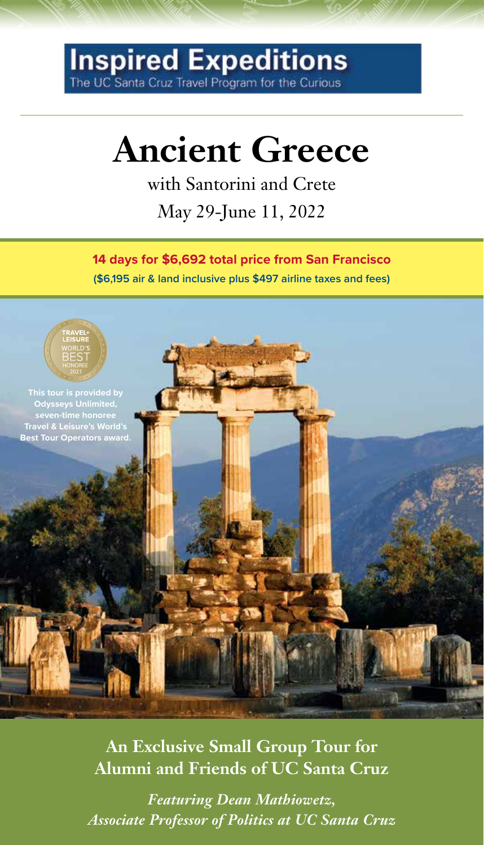## Inspired Expeditions

### **Ancient Greece**

with Santorini and Crete May 29-June 11, 2022

**14 days for \$6,692 total price from San Francisco (\$6,195 air & land inclusive plus \$497 airline taxes and fees)**



**An Exclusive Small Group Tour for Alumni and Friends of UC Santa Cruz**

*Featuring Dean Mathiowetz, Associate Professor of Politics at UC Santa Cruz*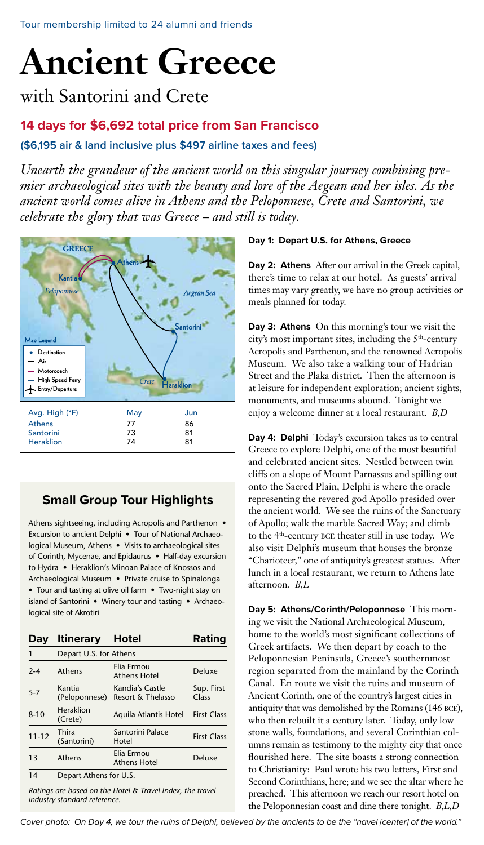## **Ancient Greece**

with Santorini and Crete

#### **14 days for \$6,692 total price from San Francisco**

**(\$6,195 air & land inclusive plus \$497 airline taxes and fees)**

*Unearth the grandeur of the ancient world on this singular journey combining premier archaeological sites with the beauty and lore of the Aegean and her isles. As the ancient world comes alive in Athens and the Peloponnese, Crete and Santorini, we celebrate the glory that was Greece – and still is today.* 



#### **Small Group Tour Highlights**

Athens sightseeing, including Acropolis and Parthenon • Excursion to ancient Delphi • Tour of National Archaeological Museum, Athens • Visits to archaeological sites of Corinth, Mycenae, and Epidaurus • Half-day excursion to Hydra • Heraklion's Minoan Palace of Knossos and Archaeological Museum • Private cruise to Spinalonga • Tour and tasting at olive oil farm • Two-night stay on island of Santorini • Winery tour and tasting • Archaeological site of Akrotiri

| Day       | <b>Itinerary</b>        | Hotel                                | Rating              |
|-----------|-------------------------|--------------------------------------|---------------------|
|           | Depart U.S. for Athens  |                                      |                     |
| $2 - 4$   | Athens                  | Elia Ermou<br><b>Athens Hotel</b>    | Deluxe              |
| $5 - 7$   | Kantia<br>(Peloponnese) | Kandia's Castle<br>Resort & Thelasso | Sup. First<br>Class |
| $8 - 10$  | Heraklion<br>(Crete)    | Aquila Atlantis Hotel                | <b>First Class</b>  |
| $11 - 12$ | Thira<br>(Santorini)    | Santorini Palace<br>Hotel            | <b>First Class</b>  |
| 13        | Athens                  | Elia Ermou<br><b>Athens Hotel</b>    | Deluxe              |
| 14        | Depart Athens for U.S.  |                                      |                     |

*Ratings are based on the Hotel & Travel Index, the travel industry standard reference.* 

#### **Day 1: Depart U.S. for Athens, Greece**

**Day 2: Athens** After our arrival in the Greek capital, there's time to relax at our hotel. As guests' arrival times may vary greatly, we have no group activities or meals planned for today.

**Day 3: Athens** On this morning's tour we visit the city's most important sites, including the 5<sup>th</sup>-century Acropolis and Parthenon, and the renowned Acropolis Museum. We also take a walking tour of Hadrian Street and the Plaka district. Then the afternoon is at leisure for independent exploration; ancient sights, monuments, and museums abound. Tonight we enjoy a welcome dinner at a local restaurant. *B,D*

**Day 4: Delphi** Today's excursion takes us to central Greece to explore Delphi, one of the most beautiful and celebrated ancient sites. Nestled between twin cliffs on a slope of Mount Parnassus and spilling out onto the Sacred Plain, Delphi is where the oracle representing the revered god Apollo presided over the ancient world. We see the ruins of the Sanctuary of Apollo; walk the marble Sacred Way; and climb to the 4th-century bce theater still in use today. We also visit Delphi's museum that houses the bronze "Charioteer," one of antiquity's greatest statues. After lunch in a local restaurant, we return to Athens late afternoon. *B,L*

**Day 5: Athens/Corinth/Peloponnese** This morning we visit the National Archaeological Museum, home to the world's most significant collections of Greek artifacts. We then depart by coach to the Peloponnesian Peninsula, Greece's southernmost region separated from the mainland by the Corinth Canal. En route we visit the ruins and museum of Ancient Corinth, one of the country's largest cities in antiquity that was demolished by the Romans (146 BCE), who then rebuilt it a century later. Today, only low stone walls, foundations, and several Corinthian columns remain as testimony to the mighty city that once flourished here. The site boasts a strong connection to Christianity: Paul wrote his two letters, First and Second Corinthians, here; and we see the altar where he preached. This afternoon we reach our resort hotel on the Peloponnesian coast and dine there tonight. *B,L,D*

*Cover photo: On Day 4, we tour the ruins of Delphi, believed by the ancients to be the "navel [center] of the world."*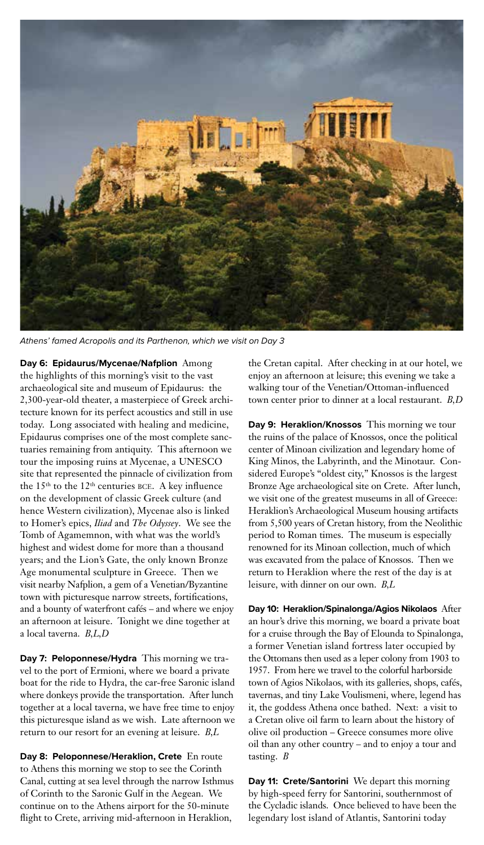

*Athens' famed Acropolis and its Parthenon, which we visit on Day 3*

**Day 6: Epidaurus/Mycenae/Nafplion** Among the highlights of this morning's visit to the vast archaeological site and museum of Epidaurus: the 2,300-year-old theater, a masterpiece of Greek architecture known for its perfect acoustics and still in use today. Long associated with healing and medicine, Epidaurus comprises one of the most complete sanctuaries remaining from antiquity. This afternoon we tour the imposing ruins at Mycenae, a UNESCO site that represented the pinnacle of civilization from the 15<sup>th</sup> to the 12<sup>th</sup> centuries BCE. A key influence on the development of classic Greek culture (and hence Western civilization), Mycenae also is linked to Homer's epics, *Iliad* and *The Odyssey*. We see the Tomb of Agamemnon, with what was the world's highest and widest dome for more than a thousand years; and the Lion's Gate, the only known Bronze Age monumental sculpture in Greece. Then we visit nearby Nafplion, a gem of a Venetian/Byzantine town with picturesque narrow streets, fortifications, and a bounty of waterfront cafés – and where we enjoy an afternoon at leisure. Tonight we dine together at a local taverna. *B,L,D*

**Day 7: Peloponnese/Hydra** This morning we travel to the port of Ermioni, where we board a private boat for the ride to Hydra, the car-free Saronic island where donkeys provide the transportation. After lunch together at a local taverna, we have free time to enjoy this picturesque island as we wish. Late afternoon we return to our resort for an evening at leisure. *B,L*

**Day 8: Peloponnese/Heraklion, Crete** En route to Athens this morning we stop to see the Corinth Canal, cutting at sea level through the narrow Isthmus of Corinth to the Saronic Gulf in the Aegean. We continue on to the Athens airport for the 50-minute flight to Crete, arriving mid-afternoon in Heraklion,

the Cretan capital. After checking in at our hotel, we enjoy an afternoon at leisure; this evening we take a walking tour of the Venetian/Ottoman-influenced town center prior to dinner at a local restaurant. *B,D*

**Day 9: Heraklion/Knossos** This morning we tour the ruins of the palace of Knossos, once the political center of Minoan civilization and legendary home of King Minos, the Labyrinth, and the Minotaur. Considered Europe's "oldest city," Knossos is the largest Bronze Age archaeological site on Crete. After lunch, we visit one of the greatest museums in all of Greece: Heraklion's Archaeological Museum housing artifacts from 5,500 years of Cretan history, from the Neolithic period to Roman times. The museum is especially renowned for its Minoan collection, much of which was excavated from the palace of Knossos. Then we return to Heraklion where the rest of the day is at leisure, with dinner on our own. *B,L*

**Day 10: Heraklion/Spinalonga/Agios Nikolaos** After an hour's drive this morning, we board a private boat for a cruise through the Bay of Elounda to Spinalonga, a former Venetian island fortress later occupied by the Ottomans then used as a leper colony from 1903 to 1957. From here we travel to the colorful harborside town of Agios Nikolaos, with its galleries, shops, cafés, tavernas, and tiny Lake Voulismeni, where, legend has it, the goddess Athena once bathed. Next: a visit to a Cretan olive oil farm to learn about the history of olive oil production – Greece consumes more olive oil than any other country – and to enjoy a tour and tasting. *B*

**Day 11: Crete/Santorini** We depart this morning by high-speed ferry for Santorini, southernmost of the Cycladic islands. Once believed to have been the legendary lost island of Atlantis, Santorini today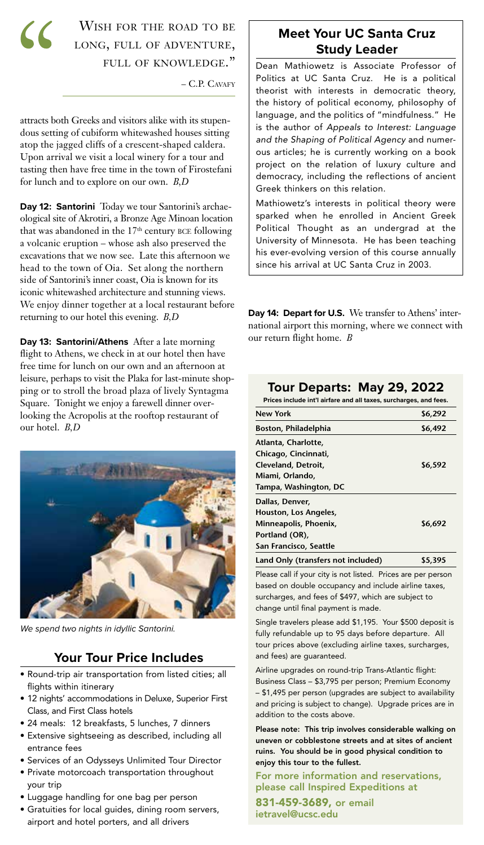$\mathcal{C}$ 

#### WISH FOR THE ROAD TO BE long, full of adventure, full of knowledge."

– C.P. Cavafy

attracts both Greeks and visitors alike with its stupendous setting of cubiform whitewashed houses sitting atop the jagged cliffs of a crescent-shaped caldera. Upon arrival we visit a local winery for a tour and tasting then have free time in the town of Firostefani for lunch and to explore on our own. *B,D*

**Day 12: Santorini** Today we tour Santorini's archaeological site of Akrotiri, a Bronze Age Minoan location that was abandoned in the  $17<sup>th</sup>$  century BCE following a volcanic eruption – whose ash also preserved the excavations that we now see. Late this afternoon we head to the town of Oia. Set along the northern side of Santorini's inner coast, Oia is known for its iconic whitewashed architecture and stunning views. We enjoy dinner together at a local restaurant before returning to our hotel this evening. *B,D*

**Day 13: Santorini/Athens** After a late morning flight to Athens, we check in at our hotel then have free time for lunch on our own and an afternoon at leisure, perhaps to visit the Plaka for last-minute shopping or to stroll the broad plaza of lively Syntagma Square. Tonight we enjoy a farewell dinner overlooking the Acropolis at the rooftop restaurant of our hotel. *B,D*



*We spend two nights in idyllic Santorini.*

#### **Your Tour Price Includes**

- Round-trip air transportation from listed cities; all flights within itinerary
- 12 nights' accommodations in Deluxe, Superior First Class, and First Class hotels
- 24 meals: 12 breakfasts, 5 lunches, 7 dinners
- Extensive sightseeing as described, including all entrance fees
- Services of an Odysseys Unlimited Tour Director
- Private motorcoach transportation throughout your trip
- Luggage handling for one bag per person
- Gratuities for local guides, dining room servers, airport and hotel porters, and all drivers

#### **Meet Your UC Santa Cruz Study Leader**

Dean Mathiowetz is Associate Professor of Politics at UC Santa Cruz. He is a political theorist with interests in democratic theory, the history of political economy, philosophy of language, and the politics of "mindfulness." He is the author of *Appeals to Interest: Language and the Shaping of Political Agency* and numerous articles; he is currently working on a book project on the relation of luxury culture and democracy, including the reflections of ancient Greek thinkers on this relation.

Mathiowetz's interests in political theory were sparked when he enrolled in Ancient Greek Political Thought as an undergrad at the University of Minnesota. He has been teaching his ever-evolving version of this course annually since his arrival at UC Santa Cruz in 2003.

**Day 14: Depart for U.S.** We transfer to Athens' international airport this morning, where we connect with our return flight home. *B*

#### **Tour Departs: May 29, 2022**

Prices include int'l airfare and all taxes, surcharges, and f

| New York                           | \$6,292 |  |  |
|------------------------------------|---------|--|--|
| Boston, Philadelphia               | \$6,492 |  |  |
| Atlanta, Charlotte,                |         |  |  |
| Chicago, Cincinnati,               |         |  |  |
| Cleveland, Detroit,                | \$6,592 |  |  |
| Miami, Orlando,                    |         |  |  |
| Tampa, Washington, DC              |         |  |  |
| Dallas, Denver,                    |         |  |  |
| Houston, Los Angeles,              |         |  |  |
| Minneapolis, Phoenix,              | \$6.692 |  |  |
| Portland (OR),                     |         |  |  |
| San Francisco, Seattle             |         |  |  |
| Land Only (transfers not included) | \$5.395 |  |  |

Please call if your city is not listed. Prices are per person based on double occupancy and include airline taxes, surcharges, and fees of \$497, which are subject to change until final payment is made.

Single travelers please add \$1,195. Your \$500 deposit is fully refundable up to 95 days before departure. All tour prices above (excluding airline taxes, surcharges, and fees) are guaranteed.

Airline upgrades on round-trip Trans-Atlantic flight: Business Class – \$3,795 per person; Premium Economy – \$1,495 per person (upgrades are subject to availability and pricing is subject to change). Upgrade prices are in addition to the costs above.

Please note: This trip involves considerable walking on uneven or cobblestone streets and at sites of ancient ruins. You should be in good physical condition to enjoy this tour to the fullest.

For more information and reservations, please call Inspired Expeditions at

831-459-3689, or email ietravel@ucsc.edu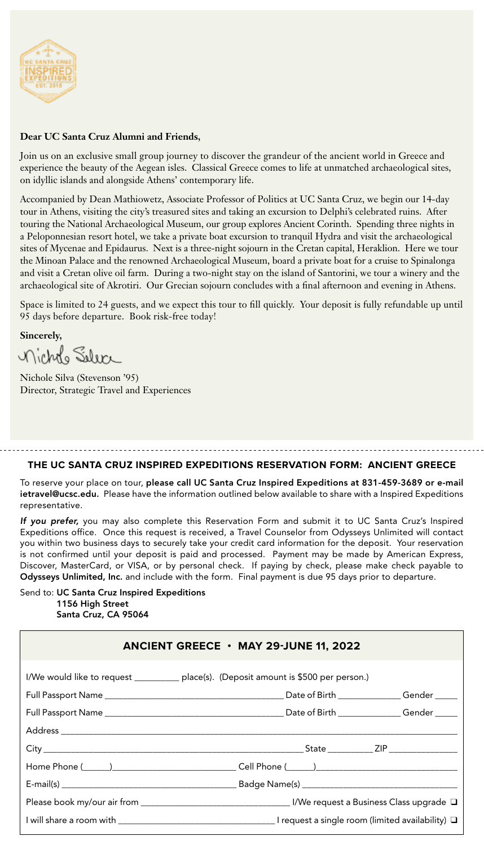

#### **Dear UC Santa Cruz Alumni and Friends,**

Join us on an exclusive small group journey to discover the grandeur of the ancient world in Greece and experience the beauty of the Aegean isles. Classical Greece comes to life at unmatched archaeological sites, on idyllic islands and alongside Athens' contemporary life.

Accompanied by Dean Mathiowetz, Associate Professor of Politics at UC Santa Cruz, we begin our 14-day tour in Athens, visiting the city's treasured sites and taking an excursion to Delphi's celebrated ruins. After touring the National Archaeological Museum, our group explores Ancient Corinth. Spending three nights in a Peloponnesian resort hotel, we take a private boat excursion to tranquil Hydra and visit the archaeological sites of Mycenae and Epidaurus. Next is a three-night sojourn in the Cretan capital, Heraklion. Here we tour the Minoan Palace and the renowned Archaeological Museum, board a private boat for a cruise to Spinalonga and visit a Cretan olive oil farm. During a two-night stay on the island of Santorini, we tour a winery and the archaeological site of Akrotiri. Our Grecian sojourn concludes with a final afternoon and evening in Athens.

Space is limited to 24 guests, and we expect this tour to fill quickly. Your deposit is fully refundable up until 95 days before departure. Book risk-free today!

**Sincerely,**

nichtho Seler

Nichole Silva (Stevenson '95) Director, Strategic Travel and Experiences

#### **THE UC SANTA CRUZ INSPIRED EXPEDITIONS RESERVATION FORM: ANCIENT GREECE**

To reserve your place on tour, please call UC Santa Cruz Inspired Expeditions at 831-459-3689 or e-mail ietravel@ucsc.edu. Please have the information outlined below available to share with a Inspired Expeditions representative.

*If you prefer,* you may also complete this Reservation Form and submit it to UC Santa Cruz's Inspired Expeditions office. Once this request is received, a Travel Counselor from Odysseys Unlimited will contact you within two business days to securely take your credit card information for the deposit. Your reservation is not confirmed until your deposit is paid and processed. Payment may be made by American Express, Discover, MasterCard, or VISA, or by personal check. If paying by check, please make check payable to Odysseys Unlimited, Inc. and include with the form. Final payment is due 95 days prior to departure.

Send to: UC Santa Cruz Inspired Expeditions 1156 High Street Santa Cruz, CA 95064

| ANCIENT GREECE $\cdot$ MAY 29-JUNE 11, 2022 |                                                                                         |  |  |  |
|---------------------------------------------|-----------------------------------------------------------------------------------------|--|--|--|
|                                             | I/We would like to request ____________ place(s). (Deposit amount is \$500 per person.) |  |  |  |
|                                             |                                                                                         |  |  |  |
|                                             |                                                                                         |  |  |  |
|                                             |                                                                                         |  |  |  |
|                                             |                                                                                         |  |  |  |
|                                             |                                                                                         |  |  |  |
|                                             |                                                                                         |  |  |  |
|                                             |                                                                                         |  |  |  |
|                                             |                                                                                         |  |  |  |